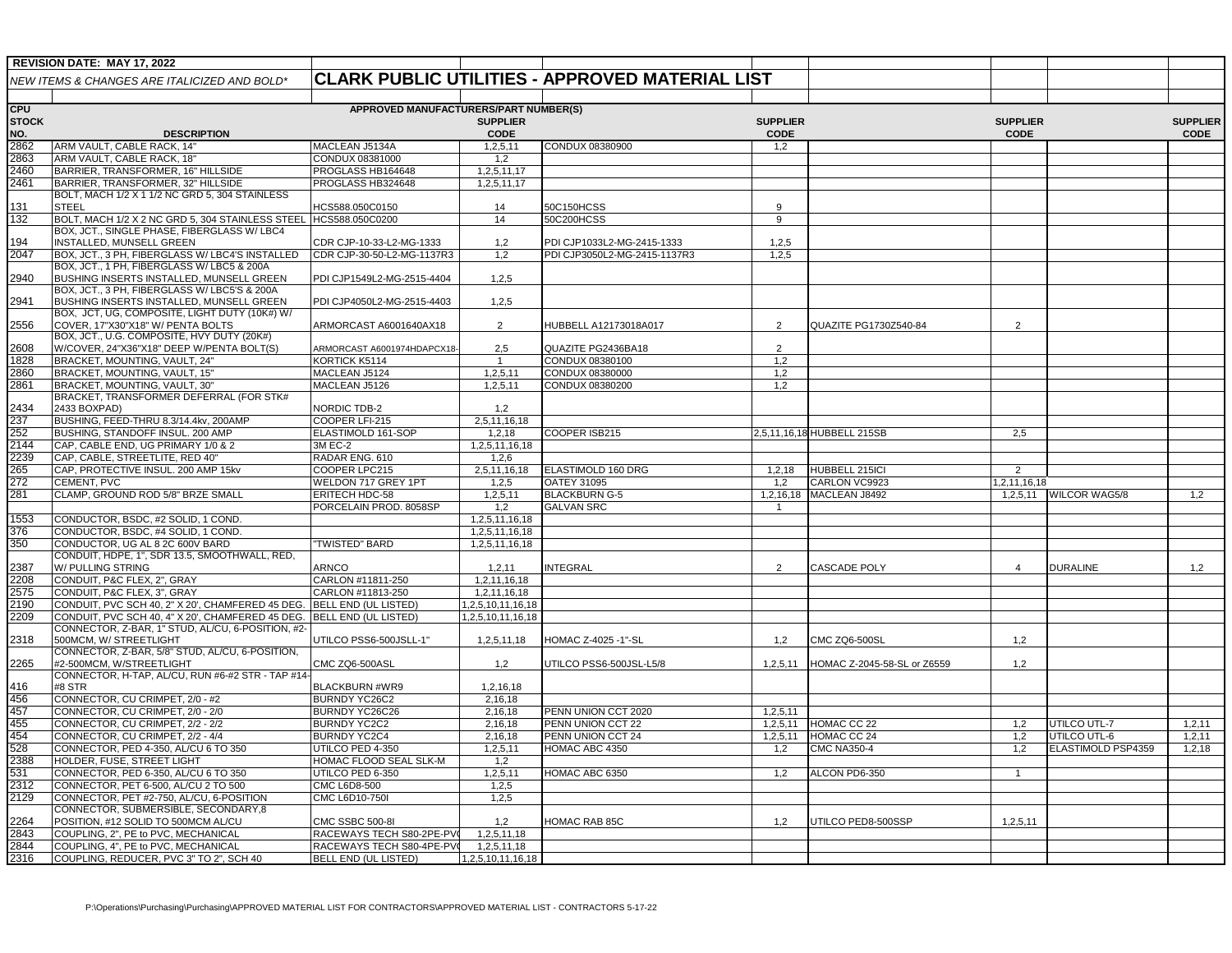|                         | REVISION DATE: MAY 17, 2022                                                     |                                             |                          |                                                        |                         |                             |                 |                        |                 |
|-------------------------|---------------------------------------------------------------------------------|---------------------------------------------|--------------------------|--------------------------------------------------------|-------------------------|-----------------------------|-----------------|------------------------|-----------------|
|                         | NEW ITEMS & CHANGES ARE ITALICIZED AND BOLD*                                    |                                             |                          | <b>CLARK PUBLIC UTILITIES - APPROVED MATERIAL LIST</b> |                         |                             |                 |                        |                 |
|                         |                                                                                 |                                             |                          |                                                        |                         |                             |                 |                        |                 |
| <b>CPU</b>              | APPROVED MANUFACTURERS/PART NUMBER(S)                                           |                                             |                          |                                                        |                         |                             |                 |                        |                 |
| STOCK                   |                                                                                 |                                             | <b>SUPPLIER</b>          |                                                        | <b>SUPPLIER</b>         |                             | <b>SUPPLIER</b> |                        | <b>SUPPLIER</b> |
| NO.                     | <b>DESCRIPTION</b>                                                              |                                             | <b>CODE</b>              |                                                        | <b>CODE</b>             |                             | <b>CODE</b>     |                        | <b>CODE</b>     |
| 2862                    | ARM VAULT, CABLE RACK, 14"                                                      | MACLEAN J5134A                              | 1,2,5,11                 | CONDUX 08380900                                        | 1,2                     |                             |                 |                        |                 |
| 2863<br>2460            | ARM VAULT, CABLE RACK, 18"<br>BARRIER, TRANSFORMER, 16" HILLSIDE                | CONDUX 08381000<br>PROGLASS HB164648        | 1,2<br>1,2,5,11,17       |                                                        |                         |                             |                 |                        |                 |
| 2461                    | BARRIER, TRANSFORMER, 32" HILLSIDE                                              | PROGLASS HB324648                           | 1,2,5,11,17              |                                                        |                         |                             |                 |                        |                 |
|                         | BOLT, MACH 1/2 X 1 1/2 NC GRD 5, 304 STAINLESS                                  |                                             |                          |                                                        |                         |                             |                 |                        |                 |
| 131                     | STEEL                                                                           | HCS588.050C0150                             | 14                       | 50C150HCSS                                             | $\mathbf{Q}$            |                             |                 |                        |                 |
| $\overline{32}$         | BOLT, MACH 1/2 X 2 NC GRD 5, 304 STAINLESS STEEL                                | HCS588.050C0200                             | 14                       | 50C200HCSS                                             | 9                       |                             |                 |                        |                 |
|                         | BOX, JCT., SINGLE PHASE, FIBERGLASS W/ LBC4                                     |                                             |                          |                                                        |                         |                             |                 |                        |                 |
| 194<br>2047             | INSTALLED, MUNSELL GREEN<br>BOX, JCT., 3 PH, FIBERGLASS W/ LBC4'S INSTALLED     | CDR CJP-10-33-L2-MG-1333                    | 1,2<br>1,2               | PDI CJP1033L2-MG-2415-1333                             | 1,2,5<br>1,2,5          |                             |                 |                        |                 |
|                         | BOX, JCT., 1 PH, FIBERGLASS W/ LBC5 & 200A                                      | CDR CJP-30-50-L2-MG-1137R3                  |                          | PDI CJP3050L2-MG-2415-1137R3                           |                         |                             |                 |                        |                 |
| 2940                    | BUSHING INSERTS INSTALLED, MUNSELL GREEN                                        | PDI CJP1549L2-MG-2515-4404                  | 1,2,5                    |                                                        |                         |                             |                 |                        |                 |
|                         | BOX, JCT., 3 PH, FIBERGLASS W/ LBC5'S & 200A                                    |                                             |                          |                                                        |                         |                             |                 |                        |                 |
| 2941                    | BUSHING INSERTS INSTALLED, MUNSELL GREEN                                        | PDI CJP4050L2-MG-2515-4403                  | 1,2,5                    |                                                        |                         |                             |                 |                        |                 |
|                         | BOX, JCT, UG, COMPOSITE, LIGHT DUTY (10K#) W/                                   |                                             |                          |                                                        |                         |                             |                 |                        |                 |
| 2556                    | COVER, 17"X30"X18" W/ PENTA BOLTS<br>BOX, JCT., U.G. COMPOSITE, HVY DUTY (20K#) | ARMORCAST A6001640AX18                      | $\overline{2}$           | HUBBELL A12173018A017                                  | $\overline{2}$          | QUAZITE PG1730Z540-84       | $\overline{2}$  |                        |                 |
| 2608                    | W/COVER, 24"X36"X18" DEEP W/PENTA BOLT(S)                                       | ARMORCAST A6001974HDAPCX18-                 | 2,5                      | QUAZITE PG2436BA18                                     | 2                       |                             |                 |                        |                 |
| 828                     | BRACKET, MOUNTING, VAULT, 24"                                                   | KORTICK K5114                               | $\mathbf{1}$             | CONDUX 08380100                                        | 1,2                     |                             |                 |                        |                 |
| 2860                    | BRACKET, MOUNTING, VAULT, 15"                                                   | MACLEAN J5124                               | 1,2,5,11                 | CONDUX 08380000                                        | 1,2                     |                             |                 |                        |                 |
| 2861                    | BRACKET, MOUNTING, VAULT, 30"                                                   | MACLEAN J5126                               | 1,2,5,11                 | CONDUX 08380200                                        | 1,2                     |                             |                 |                        |                 |
|                         | BRACKET, TRANSFORMER DEFERRAL (FOR STK#                                         |                                             |                          |                                                        |                         |                             |                 |                        |                 |
| 2434                    | 2433 BOXPAD)                                                                    | NORDIC TDB-2                                | 1,2                      |                                                        |                         |                             |                 |                        |                 |
| 237<br>252              | BUSHING, FEED-THRU 8.3/14.4kv, 200AMP<br>BUSHING, STANDOFF INSUL. 200 AMP       | COOPER LFI-215<br>ELASTIMOLD 161-SOP        | 2,5,11,16,18<br>1, 2, 18 | COOPER ISB215                                          |                         | 2,5,11,16,18 HUBBELL 215SB  | 2,5             |                        |                 |
| 2144                    | CAP, CABLE END, UG PRIMARY 1/0 & 2                                              | 3M EC-2                                     | 1,2,5,11,16,18           |                                                        |                         |                             |                 |                        |                 |
| 2239                    | CAP, CABLE, STREETLITE, RED 40"                                                 | RADAR ENG. 610                              | 1,2,6                    |                                                        |                         |                             |                 |                        |                 |
| 265                     | CAP, PROTECTIVE INSUL. 200 AMP 15kv                                             | COOPER LPC215                               | 2,5,11,16,18             | ELASTIMOLD 160 DRG                                     | 1,2,18                  | HUBBELL 215ICI              | 2               |                        |                 |
| 272                     | CEMENT, PVC                                                                     | WELDON 717 GREY 1PT                         | 1,2,5                    | <b>OATEY 31095</b>                                     | 1,2                     | CARLON VC9923               | ,2,11,16,18     |                        |                 |
| 281                     | CLAMP, GROUND ROD 5/8" BRZE SMALL                                               | ERITECH HDC-58                              | 1,2,5,11                 | <b>BLACKBURN G-5</b>                                   | 1,2,16,18               | MACLEAN J8492               |                 | 1,2,5,11 WILCOR WAG5/8 | 1,2             |
|                         |                                                                                 | PORCELAIN PROD. 8058SP                      | 1,2                      | <b>GALVAN SRC</b>                                      | $\overline{1}$          |                             |                 |                        |                 |
| 1553                    | CONDUCTOR, BSDC, #2 SOLID, 1 COND.                                              |                                             | 1,2,5,11,16,18           |                                                        |                         |                             |                 |                        |                 |
| 376<br>$\overline{350}$ | CONDUCTOR, BSDC, #4 SOLID, 1 COND.<br>CONDUCTOR, UG AL 8 2C 600V BARD           | "TWISTED" BARD                              | 1,2,5,11,16,18           |                                                        |                         |                             |                 |                        |                 |
|                         | CONDUIT, HDPE, 1", SDR 13.5, SMOOTHWALL, RED,                                   |                                             | 1,2,5,11,16,18           |                                                        |                         |                             |                 |                        |                 |
| 2387                    | W/ PULLING STRING                                                               | ARNCO                                       | 1, 2, 11                 | <b>INTEGRAL</b>                                        | $\overline{2}$          | CASCADE POLY                | 4               | <b>DURALINE</b>        | 1,2             |
| 2208                    | CONDUIT, P&C FLEX, 2", GRAY                                                     | CARLON #11811-250                           | 1,2,11,16,18             |                                                        |                         |                             |                 |                        |                 |
| 2575                    | CONDUIT, P&C FLEX, 3", GRAY                                                     | CARLON #11813-250                           | 1,2,11,16,18             |                                                        |                         |                             |                 |                        |                 |
| 2190                    | CONDUIT, PVC SCH 40, 2" X 20', CHAMFERED 45 DEG.                                | <b>BELL END (UL LISTED)</b>                 | 1,2,5,10,11,16,18        |                                                        |                         |                             |                 |                        |                 |
| 2209                    | CONDUIT, PVC SCH 40, 4" X 20', CHAMFERED 45 DEG.                                | <b>BELL END (UL LISTED)</b>                 | 1,2,5,10,11,16,18        |                                                        |                         |                             |                 |                        |                 |
| 2318                    | CONNECTOR, Z-BAR, 1" STUD, AL/CU, 6-POSITION, #2-<br>500MCM, W/ STREETLIGHT     | UTILCO PSS6-500JSLL-1"                      | 1,2,5,11,18              | HOMAC Z-4025 -1"-SL                                    | 1,2                     | <b>CMC ZQ6-500SL</b>        | 1,2             |                        |                 |
|                         | CONNECTOR, Z-BAR, 5/8" STUD, AL/CU, 6-POSITION,                                 |                                             |                          |                                                        |                         |                             |                 |                        |                 |
| 2265                    | #2-500MCM. W/STREETLIGHT                                                        | CMC ZQ6-500ASL                              | 1,2                      | UTILCO PSS6-500JSL-L5/8                                | 1,2,5,11                | HOMAC Z-2045-58-SL or Z6559 | 1,2             |                        |                 |
|                         | CONNECTOR, H-TAP, AL/CU, RUN #6-#2 STR - TAP #14                                |                                             |                          |                                                        |                         |                             |                 |                        |                 |
| 416                     | #8 STR                                                                          | BLACKBURN #WR9                              | 1,2,16,18                |                                                        |                         |                             |                 |                        |                 |
| 456                     | CONNECTOR, CU CRIMPET, 2/0 - #2                                                 | BURNDY YC26C2                               | 2,16,18                  |                                                        |                         |                             |                 |                        |                 |
| 457<br>455              | CONNECTOR, CU CRIMPET, 2/0 - 2/0<br>CONNECTOR, CU CRIMPET, 2/2 - 2/2            | BURNDY YC26C26<br><b>BURNDY YC2C2</b>       | 2,16,18<br>2,16,18       | PENN UNION CCT 2020<br>PENN UNION CCT 22               | 1, 2, 5, 11<br>1,2,5,11 | HOMAC CC 22                 | 1,2             | UTILCO UTL-7           | 1,2,11          |
| 454                     | CONNECTOR, CU CRIMPET, 2/2 - 4/4                                                | <b>BURNDY YC2C4</b>                         | 2,16,18                  | PENN UNION CCT 24                                      | 1,2,5,11                | HOMAC CC 24                 | 1,2             | UTILCO UTL-6           | 1,2,11          |
| 528                     | CONNECTOR, PED 4-350, AL/CU 6 TO 350                                            | UTILCO PED 4-350                            | 1,2,5,11                 | HOMAC ABC 4350                                         | 1,2                     | <b>CMC NA350-4</b>          | 1,2             | ELASTIMOLD PSP4359     | 1,2,18          |
| 2388                    | HOLDER, FUSE, STREET LIGHT                                                      | HOMAC FLOOD SEAL SLK-M                      | 1,2                      |                                                        |                         |                             |                 |                        |                 |
| $\overline{531}$        | CONNECTOR, PED 6-350, AL/CU 6 TO 350                                            | UTILCO PED 6-350                            | 1,2,5,11                 | HOMAC ABC 6350                                         | 1,2                     | ALCON PD6-350               | $\overline{1}$  |                        |                 |
| 2312                    | CONNECTOR, PET 6-500, AL/CU 2 TO 500                                            | <b>CMC L6D8-500</b>                         | 1,2,5                    |                                                        |                         |                             |                 |                        |                 |
| 2129                    | CONNECTOR, PET #2-750, AL/CU, 6-POSITION                                        | CMC L6D10-750I                              | 1,2,5                    |                                                        |                         |                             |                 |                        |                 |
| 2264                    | CONNECTOR, SUBMERSIBLE, SECONDARY,8                                             |                                             |                          |                                                        |                         |                             |                 |                        |                 |
| 2843                    | POSITION, #12 SOLID TO 500MCM AL/CU<br>COUPLING, 2", PE to PVC, MECHANICAL      | CMC SSBC 500-8I<br>RACEWAYS TECH S80-2PE-PV | 1,2<br>1,2,5,11,18       | HOMAC RAB 85C                                          | 1,2                     | UTILCO PED8-500SSP          | 1,2,5,11        |                        |                 |
| 2844                    | COUPLING, 4", PE to PVC, MECHANICAL                                             | RACEWAYS TECH S80-4PE-PV                    | 1,2,5,11,18              |                                                        |                         |                             |                 |                        |                 |
| 2316                    | COUPLING, REDUCER, PVC 3" TO 2", SCH 40                                         | BELL END (UL LISTED)                        | 1,2,5,10,11,16,18        |                                                        |                         |                             |                 |                        |                 |
|                         |                                                                                 |                                             |                          |                                                        |                         |                             |                 |                        |                 |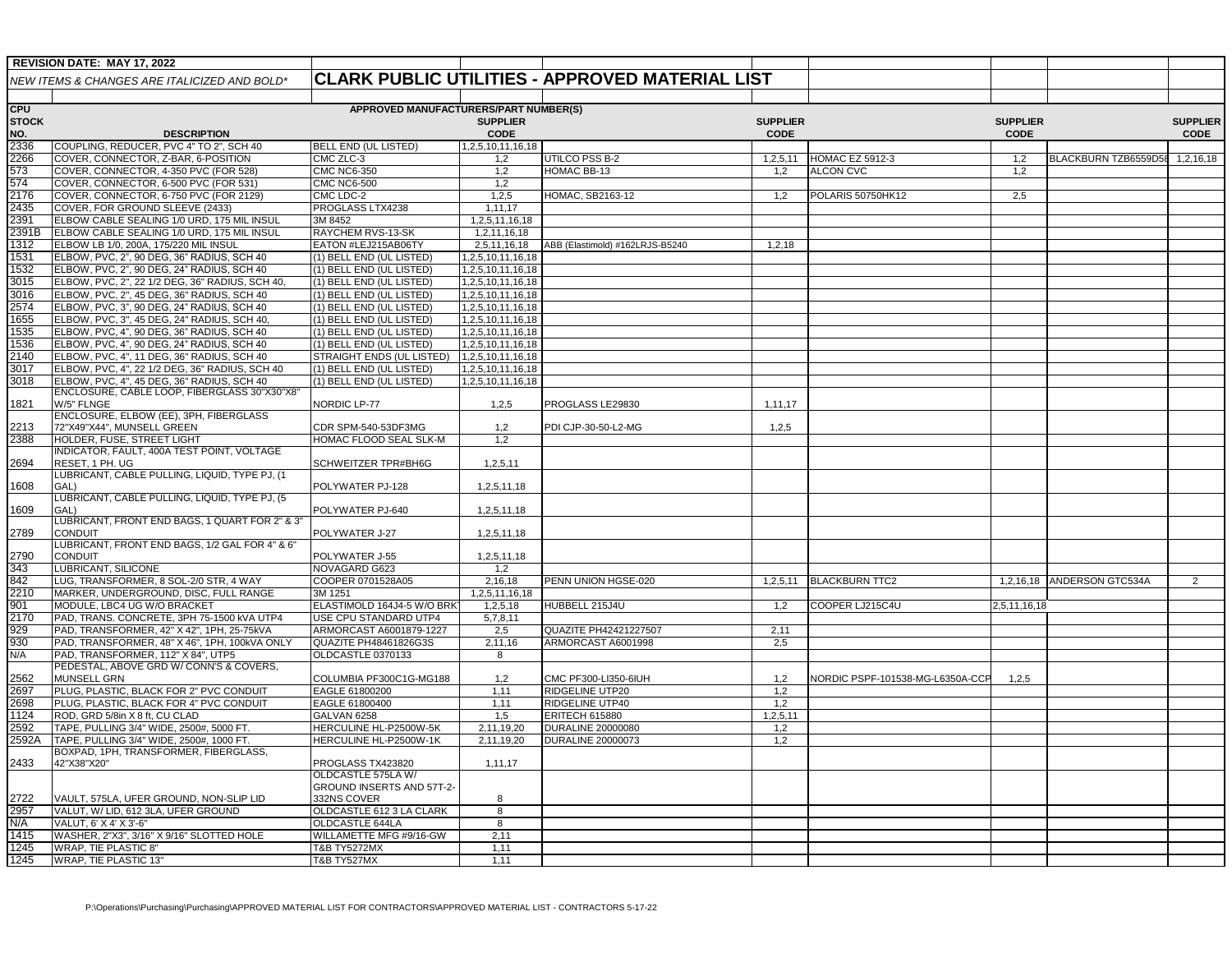|                     | <b>REVISION DATE: MAY 17, 2022</b>                                                       |                                                      |                                        |                                                        |                                |                                  |                                |                            |                                |
|---------------------|------------------------------------------------------------------------------------------|------------------------------------------------------|----------------------------------------|--------------------------------------------------------|--------------------------------|----------------------------------|--------------------------------|----------------------------|--------------------------------|
|                     | NEW ITEMS & CHANGES ARE ITALICIZED AND BOLD*                                             |                                                      |                                        | <b>CLARK PUBLIC UTILITIES - APPROVED MATERIAL LIST</b> |                                |                                  |                                |                            |                                |
| <b>CPU</b>          |                                                                                          | APPROVED MANUFACTURERS/PART NUMBER(S)                |                                        |                                                        |                                |                                  |                                |                            |                                |
| <b>STOCK</b><br>NO. | <b>DESCRIPTION</b>                                                                       |                                                      | <b>SUPPLIER</b><br><b>CODE</b>         |                                                        | <b>SUPPLIER</b><br><b>CODE</b> |                                  | <b>SUPPLIER</b><br><b>CODE</b> |                            | <b>SUPPLIER</b><br><b>CODE</b> |
| 2336                | COUPLING, REDUCER, PVC 4" TO 2", SCH 40                                                  | <b>BELL END (UL LISTED)</b>                          | 1,2,5,10,11,16,18                      |                                                        |                                |                                  |                                |                            |                                |
| 2266                | COVER, CONNECTOR, Z-BAR, 6-POSITION                                                      | CMC ZLC-3                                            | 1,2                                    | JTILCO PSS B-2                                         | 1,2,5,11                       | HOMAC EZ 5912-3                  | 1,2                            | BLACKBURN TZB6559D58       | 1,2,16,18                      |
| 573                 | COVER, CONNECTOR, 4-350 PVC (FOR 528)                                                    | <b>CMC NC6-350</b>                                   | 1,2                                    | HOMAC BB-13                                            | 1,2                            | <b>ALCON CVC</b>                 | 1,2                            |                            |                                |
| 574                 | COVER, CONNECTOR, 6-500 PVC (FOR 531)                                                    | <b>CMC NC6-500</b>                                   | 1,2                                    |                                                        |                                |                                  |                                |                            |                                |
| 2176                | COVER, CONNECTOR, 6-750 PVC (FOR 2129)                                                   | CMC LDC-2                                            | 1,2,5                                  | HOMAC, SB2163-12                                       | 1,2                            | POLARIS 50750HK12                | 2,5                            |                            |                                |
| 2435                | COVER, FOR GROUND SLEEVE (2433)                                                          | PROGLASS LTX4238                                     | 1,11,17                                |                                                        |                                |                                  |                                |                            |                                |
| 2391                | ELBOW CABLE SEALING 1/0 URD, 175 MIL INSUL                                               | 3M 8452                                              | 1,2,5,11,16,18                         |                                                        |                                |                                  |                                |                            |                                |
| 2391B               | ELBOW CABLE SEALING 1/0 URD, 175 MIL INSUL                                               | RAYCHEM RVS-13-SK                                    | 1,2,11,16,18                           |                                                        |                                |                                  |                                |                            |                                |
| 1312                | ELBOW LB 1/0, 200A, 175/220 MIL INSUL                                                    | EATON #LEJ215AB06TY                                  | 2,5,11,16,18                           | ABB (Elastimold) #162LRJS-B5240                        | 1,2,18                         |                                  |                                |                            |                                |
| 1531                | ELBOW, PVC, 2", 90 DEG, 36" RADIUS, SCH 40                                               | (1) BELL END (UL LISTED)                             | 1,2,5,10,11,16,18                      |                                                        |                                |                                  |                                |                            |                                |
| 1532                | ELBOW, PVC, 2", 90 DEG, 24" RADIUS, SCH 40                                               | (1) BELL END (UL LISTED)                             | 1,2,5,10,11,16,18                      |                                                        |                                |                                  |                                |                            |                                |
| 3015                | ELBOW, PVC, 2", 22 1/2 DEG, 36" RADIUS, SCH 40,                                          | (1) BELL END (UL LISTED)                             | 1,2,5,10,11,16,18                      |                                                        |                                |                                  |                                |                            |                                |
| 3016<br>2574        | ELBOW, PVC, 2", 45 DEG, 36" RADIUS, SCH 40<br>ELBOW, PVC, 3", 90 DEG, 24" RADIUS, SCH 40 | (1) BELL END (UL LISTED)<br>(1) BELL END (UL LISTED) | 1,2,5,10,11,16,18<br>1,2,5,10,11,16,18 |                                                        |                                |                                  |                                |                            |                                |
| 1655                | ELBOW, PVC, 3", 45 DEG, 24" RADIUS, SCH 40                                               | (1) BELL END (UL LISTED)                             | 1,2,5,10,11,16,18                      |                                                        |                                |                                  |                                |                            |                                |
| 1535                | ELBOW, PVC, 4", 90 DEG, 36" RADIUS, SCH 40                                               | (1) BELL END (UL LISTED)                             | 1,2,5,10,11,16,18                      |                                                        |                                |                                  |                                |                            |                                |
| 1536                | ELBOW, PVC, 4", 90 DEG, 24" RADIUS, SCH 40                                               | (1) BELL END (UL LISTED)                             | 1,2,5,10,11,16,18                      |                                                        |                                |                                  |                                |                            |                                |
| 2140                | ELBOW, PVC, 4", 11 DEG, 36" RADIUS, SCH 40                                               | STRAIGHT ENDS (UL LISTED)                            | 1,2,5,10,11,16,18                      |                                                        |                                |                                  |                                |                            |                                |
| 3017                | ELBOW, PVC, 4", 22 1/2 DEG, 36" RADIUS, SCH 40                                           | (1) BELL END (UL LISTED)                             | 1,2,5,10,11,16,18                      |                                                        |                                |                                  |                                |                            |                                |
| 3018                | ELBOW, PVC, 4", 45 DEG, 36" RADIUS, SCH 40                                               | (1) BELL END (UL LISTED)                             | 1,2,5,10,11,16,18                      |                                                        |                                |                                  |                                |                            |                                |
|                     | ENCLOSURE, CABLE LOOP, FIBERGLASS 30"X30"X8"                                             |                                                      |                                        |                                                        |                                |                                  |                                |                            |                                |
| 1821                | W/5" FLNGE                                                                               | NORDIC LP-77                                         | 1,2,5                                  | PROGLASS LE29830                                       | 1,11,17                        |                                  |                                |                            |                                |
|                     | ENCLOSURE, ELBOW (EE), 3PH, FIBERGLASS                                                   |                                                      |                                        |                                                        |                                |                                  |                                |                            |                                |
| 2213<br>2388        | 72"X49"X44", MUNSELL GREEN<br>HOLDER, FUSE, STREET LIGHT                                 | CDR SPM-540-53DF3MG<br>HOMAC FLOOD SEAL SLK-M        | 1,2<br>1,2                             | PDI CJP-30-50-L2-MG                                    | 1,2,5                          |                                  |                                |                            |                                |
|                     | INDICATOR, FAULT, 400A TEST POINT, VOLTAGE                                               |                                                      |                                        |                                                        |                                |                                  |                                |                            |                                |
| 2694                | RESET, 1 PH. UG                                                                          | SCHWEITZER TPR#BH6G                                  | 1,2,5,11                               |                                                        |                                |                                  |                                |                            |                                |
|                     | LUBRICANT, CABLE PULLING, LIQUID, TYPE PJ, (1                                            |                                                      |                                        |                                                        |                                |                                  |                                |                            |                                |
| 1608                | GAL)                                                                                     | POLYWATER PJ-128                                     | 1,2,5,11,18                            |                                                        |                                |                                  |                                |                            |                                |
|                     | LUBRICANT, CABLE PULLING, LIQUID, TYPE PJ, (5                                            |                                                      |                                        |                                                        |                                |                                  |                                |                            |                                |
| 1609                | GAL)                                                                                     | POLYWATER PJ-640                                     | 1,2,5,11,18                            |                                                        |                                |                                  |                                |                            |                                |
| 2789                | LUBRICANT, FRONT END BAGS, 1 QUART FOR 2" & 3"<br>CONDUIT                                | POLYWATER J-27                                       |                                        |                                                        |                                |                                  |                                |                            |                                |
|                     | LUBRICANT, FRONT END BAGS, 1/2 GAL FOR 4" & 6"                                           |                                                      | 1,2,5,11,18                            |                                                        |                                |                                  |                                |                            |                                |
| 2790                | <b>CONDUIT</b>                                                                           | POLYWATER J-55                                       | 1,2,5,11,18                            |                                                        |                                |                                  |                                |                            |                                |
| 343                 | LUBRICANT, SILICONE                                                                      | NOVAGARD G623                                        | 1,2                                    |                                                        |                                |                                  |                                |                            |                                |
| 842                 | LUG, TRANSFORMER, 8 SOL-2/0 STR, 4 WAY                                                   | COOPER 0701528A05                                    | 2,16,18                                | PENN UNION HGSE-020                                    | 1,2,5,11                       | <b>BLACKBURN TTC2</b>            |                                | 1,2,16,18 ANDERSON GTC534A | $\overline{2}$                 |
| 2210                | MARKER, UNDERGROUND, DISC, FULL RANGE                                                    | 3M 1251                                              | 1,2,5,11,16,18                         |                                                        |                                |                                  |                                |                            |                                |
| 901                 | MODULE, LBC4 UG W/O BRACKET                                                              | ELASTIMOLD 164J4-5 W/O BRK                           | 1,2,5,18                               | HUBBELL 215J4U                                         | 1,2                            | COOPER LJ215C4U                  | 2,5,11,16,18                   |                            |                                |
| 2170                | PAD, TRANS. CONCRETE, 3PH 75-1500 KVA UTP4                                               | USE CPU STANDARD UTP4                                | 5,7,8,11                               |                                                        |                                |                                  |                                |                            |                                |
| 929                 | PAD, TRANSFORMER, 42" X 42", 1PH, 25-75kVA                                               | ARMORCAST A6001879-1227                              | 2,5                                    | QUAZITE PH42421227507                                  | 2,11                           |                                  |                                |                            |                                |
| 930                 | PAD, TRANSFORMER, 48" X 46", 1PH, 100kVA ONLY                                            | <b>QUAZITE PH48461826G3S</b>                         | 2,11,16                                | ARMORCAST A6001998                                     | 2,5                            |                                  |                                |                            |                                |
| N/A                 | PAD, TRANSFORMER, 112" X 84", UTP5<br>PEDESTAL, ABOVE GRD W/ CONN'S & COVERS,            | OLDCASTLE 0370133                                    | 8                                      |                                                        |                                |                                  |                                |                            |                                |
| 2562                | MUNSELL GRN                                                                              | COLUMBIA PF300C1G-MG188                              | 1,2                                    | CMC PF300-LI350-6IUH                                   | 1,2                            | NORDIC PSPF-101538-MG-L6350A-CCF | 1,2,5                          |                            |                                |
| 2697                | PLUG, PLASTIC, BLACK FOR 2" PVC CONDUIT                                                  | EAGLE 61800200                                       | 1,11                                   | <b>RIDGELINE UTP20</b>                                 | 1,2                            |                                  |                                |                            |                                |
| 2698                | PLUG, PLASTIC, BLACK FOR 4" PVC CONDUIT                                                  | EAGLE 61800400                                       | 1,11                                   | RIDGELINE UTP40                                        | 1,2                            |                                  |                                |                            |                                |
| 1124                | ROD, GRD 5/8in X 8 ft, CU CLAD                                                           | GALVAN 6258                                          | 1,5                                    | <b>ERITECH 615880</b>                                  | 1,2,5,11                       |                                  |                                |                            |                                |
| 2592                | TAPE, PULLING 3/4" WIDE, 2500#, 5000 FT.                                                 | HERCULINE HL-P2500W-5K                               | 2,11,19,20                             | <b>DURALINE 20000080</b>                               | 1,2                            |                                  |                                |                            |                                |
| 2592A               | TAPE, PULLING 3/4" WIDE, 2500#, 1000 FT.                                                 | HERCULINE HL-P2500W-1K                               | 2,11,19,20                             | <b>DURALINE 20000073</b>                               | 1,2                            |                                  |                                |                            |                                |
|                     | BOXPAD, 1PH, TRANSFORMER, FIBERGLASS,                                                    |                                                      |                                        |                                                        |                                |                                  |                                |                            |                                |
| 2433                | 42"X38"X20"                                                                              | PROGLASS TX423820                                    | 1,11,17                                |                                                        |                                |                                  |                                |                            |                                |
|                     |                                                                                          | OLDCASTLE 575LA W/                                   |                                        |                                                        |                                |                                  |                                |                            |                                |
|                     |                                                                                          | GROUND INSERTS AND 57T-2-<br>332NS COVER             | 8                                      |                                                        |                                |                                  |                                |                            |                                |
| 2722<br>2957        | VAULT, 575LA, UFER GROUND, NON-SLIP LID<br>VALUT, W/ LID, 612 3LA, UFER GROUND           | OLDCASTLE 612 3 LA CLARK                             | 8                                      |                                                        |                                |                                  |                                |                            |                                |
| N/A                 | VALUT, 6' X 4' X 3'-6"                                                                   | OLDCASTLE 644LA                                      | 8                                      |                                                        |                                |                                  |                                |                            |                                |
| 1415                | WASHER, 2"X3", 3/16" X 9/16" SLOTTED HOLE                                                | WILLAMETTE MFG #9/16-GW                              | 2,11                                   |                                                        |                                |                                  |                                |                            |                                |
| 1245                | <b>WRAP, TIE PLASTIC 8"</b>                                                              | T&B TY5272MX                                         | 1,11                                   |                                                        |                                |                                  |                                |                            |                                |
| 1245                | WRAP, TIE PLASTIC 13"                                                                    | <b>T&amp;B TY527MX</b>                               | 1,11                                   |                                                        |                                |                                  |                                |                            |                                |
|                     |                                                                                          |                                                      |                                        |                                                        |                                |                                  |                                |                            |                                |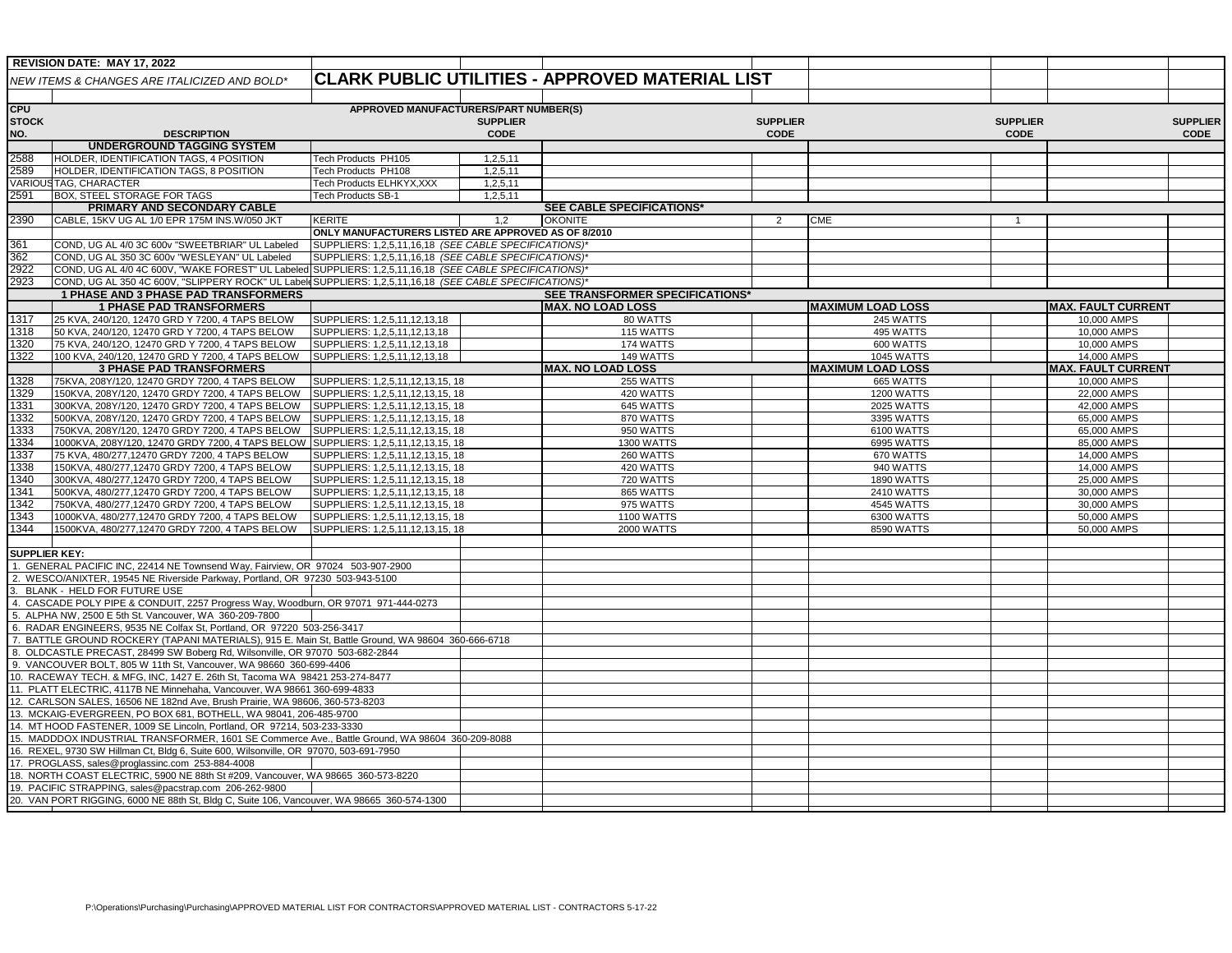|                                                                                                                                                                            | <b>REVISION DATE: MAY 17, 2022</b>                                                                                                   |                                                       |                 |                                                        |                 |                          |                 |                           |                 |
|----------------------------------------------------------------------------------------------------------------------------------------------------------------------------|--------------------------------------------------------------------------------------------------------------------------------------|-------------------------------------------------------|-----------------|--------------------------------------------------------|-----------------|--------------------------|-----------------|---------------------------|-----------------|
|                                                                                                                                                                            | NEW ITEMS & CHANGES ARE ITALICIZED AND BOLD*                                                                                         |                                                       |                 | <b>CLARK PUBLIC UTILITIES - APPROVED MATERIAL LIST</b> |                 |                          |                 |                           |                 |
|                                                                                                                                                                            |                                                                                                                                      |                                                       |                 |                                                        |                 |                          |                 |                           |                 |
| <b>CPU</b>                                                                                                                                                                 |                                                                                                                                      | APPROVED MANUFACTURERS/PART NUMBER(S)                 |                 |                                                        |                 |                          |                 |                           |                 |
| <b>STOCK</b>                                                                                                                                                               |                                                                                                                                      |                                                       | <b>SUPPLIER</b> |                                                        | <b>SUPPLIER</b> |                          | <b>SUPPLIER</b> |                           | <b>SUPPLIER</b> |
| NO.                                                                                                                                                                        | <b>DESCRIPTION</b>                                                                                                                   |                                                       | CODE            |                                                        | <b>CODE</b>     |                          | <b>CODE</b>     |                           | CODE            |
|                                                                                                                                                                            | <b>UNDERGROUND TAGGING SYSTEM</b>                                                                                                    |                                                       |                 |                                                        |                 |                          |                 |                           |                 |
| 2588                                                                                                                                                                       | HOLDER, IDENTIFICATION TAGS, 4 POSITION                                                                                              | Tech Products PH105                                   | 1,2,5,11        |                                                        |                 |                          |                 |                           |                 |
| 2589                                                                                                                                                                       | HOLDER, IDENTIFICATION TAGS, 8 POSITION                                                                                              | Tech Products PH108                                   | 1,2,5,11        |                                                        |                 |                          |                 |                           |                 |
| <b>VARIOU</b>                                                                                                                                                              | <b>ISTAG, CHARACTER</b>                                                                                                              | Tech Products ELHKYX, XXX                             | 1,2,5,11        |                                                        |                 |                          |                 |                           |                 |
| 2591                                                                                                                                                                       | BOX, STEEL STORAGE FOR TAGS                                                                                                          | Tech Products SB-1                                    | 1,2,5,11        |                                                        |                 |                          |                 |                           |                 |
|                                                                                                                                                                            | PRIMARY AND SECONDARY CABLE                                                                                                          |                                                       |                 | <b>SEE CABLE SPECIFICATIONS*</b>                       |                 |                          |                 |                           |                 |
| 2390                                                                                                                                                                       | CABLE, 15KV UG AL 1/0 EPR 175M INS.W/050 JKT                                                                                         | KERITE                                                | 1,2             | <b>OKONITE</b>                                         | 2               | <b>CME</b>               | $\mathbf{1}$    |                           |                 |
|                                                                                                                                                                            |                                                                                                                                      | ONLY MANUFACTURERS LISTED ARE APPROVED AS OF 8/2010   |                 |                                                        |                 |                          |                 |                           |                 |
| 361                                                                                                                                                                        | COND, UG AL 4/0 3C 600v "SWEETBRIAR" UL Labeled                                                                                      | SUPPLIERS: 1,2,5,11,16,18 (SEE CABLE SPECIFICATIONS)* |                 |                                                        |                 |                          |                 |                           |                 |
| 362                                                                                                                                                                        | COND, UG AL 350 3C 600v "WESLEYAN" UL Labeled                                                                                        | SUPPLIERS: 1,2,5,11,16,18 (SEE CABLE SPECIFICATIONS)* |                 |                                                        |                 |                          |                 |                           |                 |
| 2922                                                                                                                                                                       | COND, UG AL 4/0 4C 600V, "WAKE FOREST" UL Labeled                                                                                    | SUPPLIERS: 1,2,5,11,16,18 (SEE CABLE SPECIFICATIONS)* |                 |                                                        |                 |                          |                 |                           |                 |
| 2923                                                                                                                                                                       | COND, UG AL 350 4C 600V, "SLIPPERY ROCK" UL Label SUPPLIERS: 1,2,5,11,16,18 (SEE CABLE SPECIFICATIONS)'                              |                                                       |                 |                                                        |                 |                          |                 |                           |                 |
|                                                                                                                                                                            | 1 PHASE AND 3 PHASE PAD TRANSFORMERS                                                                                                 |                                                       |                 | <b>SEE TRANSFORMER SPECIFICATIONS*</b>                 |                 |                          |                 |                           |                 |
|                                                                                                                                                                            | <b>1 PHASE PAD TRANSFORMERS</b>                                                                                                      |                                                       |                 | <b>MAX. NO LOAD LOSS</b>                               |                 | <b>MAXIMUM LOAD LOSS</b> |                 | <b>MAX. FAULT CURRENT</b> |                 |
| 1317                                                                                                                                                                       | 25 KVA, 240/120, 12470 GRD Y 7200, 4 TAPS BELOW                                                                                      | SUPPLIERS: 1,2,5,11,12,13,18                          |                 | 80 WATTS                                               |                 | 245 WATTS                |                 | 10,000 AMPS               |                 |
| 1318                                                                                                                                                                       | 50 KVA, 240/120, 12470 GRD Y 7200, 4 TAPS BELOW                                                                                      | SUPPLIERS: 1,2,5,11,12,13,18                          |                 | 115 WATTS                                              |                 | 495 WATTS                |                 | 10,000 AMPS               |                 |
| 320                                                                                                                                                                        | 75 KVA, 240/12O, 12470 GRD Y 7200, 4 TAPS BELOW                                                                                      | SUPPLIERS: 1,2,5,11,12,13,18                          |                 | 174 WATTS                                              |                 | 600 WATTS                |                 | 10,000 AMPS               |                 |
| $\overline{322}$                                                                                                                                                           | 100 KVA, 240/120, 12470 GRD Y 7200, 4 TAPS BELOW                                                                                     | SUPPLIERS: 1,2,5,11,12,13,18                          |                 | 149 WATTS                                              |                 | <b>1045 WATTS</b>        |                 | 14,000 AMPS               |                 |
|                                                                                                                                                                            | <b>3 PHASE PAD TRANSFORMERS</b>                                                                                                      |                                                       |                 | <b>MAX. NO LOAD LOSS</b>                               |                 | <b>MAXIMUM LOAD LOSS</b> |                 | <b>MAX. FAULT CURRENT</b> |                 |
| 1328                                                                                                                                                                       | 75KVA, 208Y/120, 12470 GRDY 7200, 4 TAPS BELOW                                                                                       | SUPPLIERS: 1,2,5,11,12,13,15, 18                      |                 | 255 WATTS                                              |                 | 665 WATTS                |                 | 10,000 AMPS               |                 |
| 329                                                                                                                                                                        | 150KVA, 208Y/120, 12470 GRDY 7200, 4 TAPS BELOW                                                                                      | SUPPLIERS: 1,2,5,11,12,13,15, 18                      |                 | 420 WATTS                                              |                 | <b>1200 WATTS</b>        |                 | 22,000 AMPS               |                 |
| 1331                                                                                                                                                                       | 300KVA, 208Y/120, 12470 GRDY 7200, 4 TAPS BELOW                                                                                      | SUPPLIERS: 1,2,5,11,12,13,15, 18                      |                 | 645 WATTS                                              |                 | 2025 WATTS               |                 | 42,000 AMPS               |                 |
| 332                                                                                                                                                                        | 500KVA, 208Y/120, 12470 GRDY 7200, 4 TAPS BELOW                                                                                      | SUPPLIERS: 1,2,5,11,12,13,15, 18                      |                 | 870 WATTS                                              |                 | 3395 WATTS               |                 | 65,000 AMPS               |                 |
| 1333                                                                                                                                                                       | 750KVA, 208Y/120, 12470 GRDY 7200, 4 TAPS BELOW                                                                                      | SUPPLIERS: 1,2,5,11,12,13,15, 18                      |                 | 950 WATTS                                              |                 | 6100 WATTS               |                 | 65,000 AMPS               |                 |
| 1334                                                                                                                                                                       | 1000KVA, 208Y/120, 12470 GRDY 7200, 4 TAPS BELOW                                                                                     | SUPPLIERS: 1,2,5,11,12,13,15, 18                      |                 | <b>1300 WATTS</b>                                      |                 | 6995 WATTS               |                 | 85,000 AMPS               |                 |
| 1337                                                                                                                                                                       | 75 KVA, 480/277,12470 GRDY 7200, 4 TAPS BELOW                                                                                        | SUPPLIERS: 1,2,5,11,12,13,15, 18                      |                 | 260 WATTS                                              |                 | 670 WATTS                |                 | 14,000 AMPS               |                 |
| 338                                                                                                                                                                        | 150KVA, 480/277,12470 GRDY 7200, 4 TAPS BELOW                                                                                        | SUPPLIERS: 1,2,5,11,12,13,15, 18                      |                 | 420 WATTS                                              |                 | 940 WATTS                |                 | 14,000 AMPS               |                 |
| 1340                                                                                                                                                                       | 300KVA, 480/277,12470 GRDY 7200, 4 TAPS BELOW                                                                                        | SUPPLIERS: 1,2,5,11,12,13,15, 18                      |                 | 720 WATTS                                              |                 | <b>1890 WATTS</b>        |                 | 25,000 AMPS               |                 |
| 1341                                                                                                                                                                       | 500KVA, 480/277,12470 GRDY 7200, 4 TAPS BELOW                                                                                        | SUPPLIERS: 1,2,5,11,12,13,15, 18                      |                 | 865 WATTS                                              |                 | 2410 WATTS               |                 | 30,000 AMPS               |                 |
| 342                                                                                                                                                                        | 750KVA, 480/277,12470 GRDY 7200, 4 TAPS BELOW                                                                                        | SUPPLIERS: 1,2,5,11,12,13,15, 18                      |                 | 975 WATTS                                              |                 | 4545 WATTS               |                 | 30,000 AMPS               |                 |
| $ 343\rangle$                                                                                                                                                              | 1000KVA, 480/277,12470 GRDY 7200, 4 TAPS BELOW                                                                                       | SUPPLIERS: 1,2,5,11,12,13,15, 18                      |                 | <b>1100 WATTS</b>                                      |                 | 6300 WATTS               |                 | 50,000 AMPS               |                 |
| 1344                                                                                                                                                                       | 1500KVA, 480/277,12470 GRDY 7200, 4 TAPS BELOW                                                                                       | SUPPLIERS: 1,2,5,11,12,13,15, 18                      |                 | <b>2000 WATTS</b>                                      |                 | 8590 WATTS               |                 | 50,000 AMPS               |                 |
|                                                                                                                                                                            |                                                                                                                                      |                                                       |                 |                                                        |                 |                          |                 |                           |                 |
| SUPPLIER KEY:                                                                                                                                                              |                                                                                                                                      |                                                       |                 |                                                        |                 |                          |                 |                           |                 |
|                                                                                                                                                                            | 1. GENERAL PACIFIC INC, 22414 NE Townsend Way, Fairview, OR 97024 503-907-2900                                                       |                                                       |                 |                                                        |                 |                          |                 |                           |                 |
|                                                                                                                                                                            | 2. WESCO/ANIXTER, 19545 NE Riverside Parkway, Portland, OR 97230 503-943-5100                                                        |                                                       |                 |                                                        |                 |                          |                 |                           |                 |
|                                                                                                                                                                            | BLANK - HELD FOR FUTURE USE                                                                                                          |                                                       |                 |                                                        |                 |                          |                 |                           |                 |
|                                                                                                                                                                            | 4. CASCADE POLY PIPE & CONDUIT, 2257 Progress Way, Woodburn, OR 97071 971-444-0273                                                   |                                                       |                 |                                                        |                 |                          |                 |                           |                 |
|                                                                                                                                                                            | 5. ALPHA NW, 2500 E 5th St. Vancouver, WA 360-209-7800                                                                               |                                                       |                 |                                                        |                 |                          |                 |                           |                 |
|                                                                                                                                                                            | 6. RADAR ENGINEERS, 9535 NE Colfax St, Portland, OR 97220 503-256-3417                                                               |                                                       |                 |                                                        |                 |                          |                 |                           |                 |
|                                                                                                                                                                            | 7. BATTLE GROUND ROCKERY (TAPANI MATERIALS), 915 E. Main St, Battle Ground, WA 98604 360-666-6718                                    |                                                       |                 |                                                        |                 |                          |                 |                           |                 |
|                                                                                                                                                                            | 8. OLDCASTLE PRECAST, 28499 SW Boberg Rd, Wilsonville, OR 97070 503-682-2844                                                         |                                                       |                 |                                                        |                 |                          |                 |                           |                 |
|                                                                                                                                                                            |                                                                                                                                      |                                                       |                 |                                                        |                 |                          |                 |                           |                 |
| 9. VANCOUVER BOLT, 805 W 11th St, Vancouver, WA 98660 360-699-4406                                                                                                         |                                                                                                                                      |                                                       |                 |                                                        |                 |                          |                 |                           |                 |
| 10. RACEWAY TECH. & MFG, INC, 1427 E. 26th St, Tacoma WA 98421 253-274-8477                                                                                                |                                                                                                                                      |                                                       |                 |                                                        |                 |                          |                 |                           |                 |
| 11. PLATT ELECTRIC, 4117B NE Minnehaha, Vancouver, WA 98661 360-699-4833                                                                                                   |                                                                                                                                      |                                                       |                 |                                                        |                 |                          |                 |                           |                 |
| 12. CARLSON SALES, 16506 NE 182nd Ave, Brush Prairie, WA 98606, 360-573-8203<br>13. MCKAIG-EVERGREEN, PO BOX 681, BOTHELL, WA 98041, 206-485-9700                          |                                                                                                                                      |                                                       |                 |                                                        |                 |                          |                 |                           |                 |
|                                                                                                                                                                            |                                                                                                                                      |                                                       |                 |                                                        |                 |                          |                 |                           |                 |
| 14. MT HOOD FASTENER, 1009 SE Lincoln, Portland, OR 97214, 503-233-3330<br>15. MADDDOX INDUSTRIAL TRANSFORMER, 1601 SE Commerce Ave., Battle Ground, WA 98604 360-209-8088 |                                                                                                                                      |                                                       |                 |                                                        |                 |                          |                 |                           |                 |
|                                                                                                                                                                            |                                                                                                                                      |                                                       |                 |                                                        |                 |                          |                 |                           |                 |
|                                                                                                                                                                            | 16. REXEL, 9730 SW Hillman Ct, Bldg 6, Suite 600, Wilsonville, OR 97070, 503-691-7950                                                |                                                       |                 |                                                        |                 |                          |                 |                           |                 |
|                                                                                                                                                                            | 17. PROGLASS, sales@proglassinc.com 253-884-4008<br>18. NORTH COAST ELECTRIC, 5900 NE 88th St #209, Vancouver, WA 98665 360-573-8220 |                                                       |                 |                                                        |                 |                          |                 |                           |                 |
|                                                                                                                                                                            |                                                                                                                                      |                                                       |                 |                                                        |                 |                          |                 |                           |                 |
|                                                                                                                                                                            | 19. PACIFIC STRAPPING, sales@pacstrap.com 206-262-9800                                                                               |                                                       |                 |                                                        |                 |                          |                 |                           |                 |
|                                                                                                                                                                            | 20. VAN PORT RIGGING, 6000 NE 88th St, Bldg C, Suite 106, Vancouver, WA 98665 360-574-1300                                           |                                                       |                 |                                                        |                 |                          |                 |                           |                 |